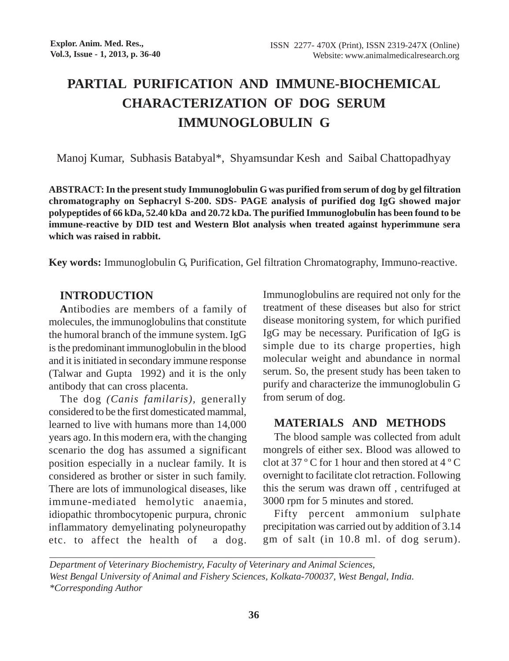# **PARTIAL PURIFICATION AND IMMUNE-BIOCHEMICAL CHARACTERIZATION OF DOG SERUM IMMUNOGLOBULIN G**

Manoj Kumar, Subhasis Batabyal\*, Shyamsundar Kesh and Saibal Chattopadhyay

**ABSTRACT: In the present study Immunoglobulin G was purified from serum of dog by gel filtration chromatography on Sephacryl S-200. SDS- PAGE analysis of purified dog IgG showed major polypeptides of 66 kDa, 52.40 kDa and 20.72 kDa. The purified Immunoglobulin has been found to be immune-reactive by DID test and Western Blot analysis when treated against hyperimmune sera which was raised in rabbit.**

**Key words:** Immunoglobulin G, Purification, Gel filtration Chromatography, Immuno-reactive.

## **INTRODUCTION**

**A**ntibodies are members of a family of molecules, the immunoglobulins that constitute the humoral branch of the immune system. IgG is the predominant immunoglobulin in the blood and it is initiated in secondary immune response (Talwar and Gupta 1992) and it is the only antibody that can cross placenta.

The dog *(Canis familaris),* generally considered to be the first domesticated mammal, learned to live with humans more than 14,000 years ago. In this modern era, with the changing scenario the dog has assumed a significant position especially in a nuclear family. It is considered as brother or sister in such family. There are lots of immunological diseases, like immune-mediated hemolytic anaemia, idiopathic thrombocytopenic purpura, chronic inflammatory demyelinating polyneuropathy etc. to affect the health of a dog. Immunoglobulins are required not only for the treatment of these diseases but also for strict disease monitoring system, for which purified IgG may be necessary. Purification of IgG is simple due to its charge properties, high molecular weight and abundance in normal serum. So, the present study has been taken to purify and characterize the immunoglobulin G from serum of dog.

### **MATERIALS AND METHODS**

The blood sample was collected from adult mongrels of either sex. Blood was allowed to clot at 37 º C for 1 hour and then stored at 4 º C overnight to facilitate clot retraction. Following this the serum was drawn off , centrifuged at 3000 rpm for 5 minutes and stored.

Fifty percent ammonium sulphate precipitation was carried out by addition of 3.14 gm of salt (in 10.8 ml. of dog serum).

*Department of Veterinary Biochemistry, Faculty of Veterinary and Animal Sciences, West Bengal University of Animal and Fishery Sciences, Kolkata-700037, West Bengal, India. \*Corresponding Author*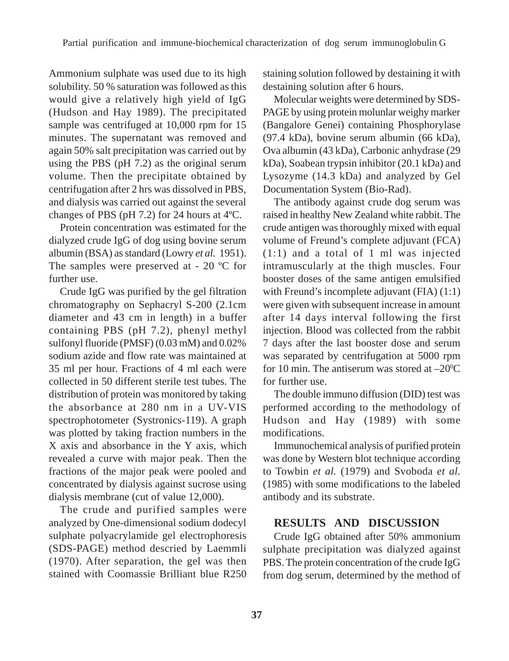Ammonium sulphate was used due to its high solubility. 50 % saturation was followed as this would give a relatively high yield of IgG (Hudson and Hay 1989). The precipitated sample was centrifuged at 10,000 rpm for 15 minutes. The supernatant was removed and again 50% salt precipitation was carried out by using the PBS (pH 7.2) as the original serum volume. Then the precipitate obtained by centrifugation after 2 hrs was dissolved in PBS, and dialysis was carried out against the several changes of PBS (pH 7.2) for 24 hours at 4ºC.

Protein concentration was estimated for the dialyzed crude IgG of dog using bovine serum albumin (BSA) as standard (Lowry *et al.* 1951). The samples were preserved at - 20 ºC for further use.

Crude IgG was purified by the gel filtration chromatography on Sephacryl S-200 (2.1cm diameter and 43 cm in length) in a buffer containing PBS (pH 7.2), phenyl methyl sulfonyl fluoride (PMSF) (0.03 mM) and 0.02% sodium azide and flow rate was maintained at 35 ml per hour. Fractions of 4 ml each were collected in 50 different sterile test tubes. The distribution of protein was monitored by taking the absorbance at 280 nm in a UV-VIS spectrophotometer (Systronics-119). A graph was plotted by taking fraction numbers in the X axis and absorbance in the Y axis, which revealed a curve with major peak. Then the fractions of the major peak were pooled and concentrated by dialysis against sucrose using dialysis membrane (cut of value 12,000).

The crude and purified samples were analyzed by One-dimensional sodium dodecyl sulphate polyacrylamide gel electrophoresis (SDS-PAGE) method descried by Laemmli (1970). After separation, the gel was then stained with Coomassie Brilliant blue R250 staining solution followed by destaining it with destaining solution after 6 hours.

Molecular weights were determined by SDS-PAGE by using protein molunlar weighy marker (Bangalore Genei) containing Phosphorylase (97.4 kDa), bovine serum albumin (66 kDa), Ova albumin (43 kDa), Carbonic anhydrase (29 kDa), Soabean trypsin inhibitor (20.1 kDa) and Lysozyme (14.3 kDa) and analyzed by Gel Documentation System (Bio-Rad).

The antibody against crude dog serum was raised in healthy New Zealand white rabbit. The crude antigen was thoroughly mixed with equal volume of Freund's complete adjuvant (FCA) (1:1) and a total of 1 ml was injected intramuscularly at the thigh muscles. Four booster doses of the same antigen emulsified with Freund's incomplete adjuvant (FIA)  $(1:1)$ were given with subsequent increase in amount after 14 days interval following the first injection. Blood was collected from the rabbit 7 days after the last booster dose and serum was separated by centrifugation at 5000 rpm for 10 min. The antiserum was stored at  $-20^{\circ}$ C for further use.

The double immuno diffusion (DID) test was performed according to the methodology of Hudson and Hay (1989) with some modifications.

Immunochemical analysis of purified protein was done by Western blot technique according to Towbin *et al.* (1979) and Svoboda *et al.* (1985) with some modifications to the labeled antibody and its substrate.

# **RESULTS AND DISCUSSION**

Crude IgG obtained after 50% ammonium sulphate precipitation was dialyzed against PBS. The protein concentration of the crude IgG from dog serum, determined by the method of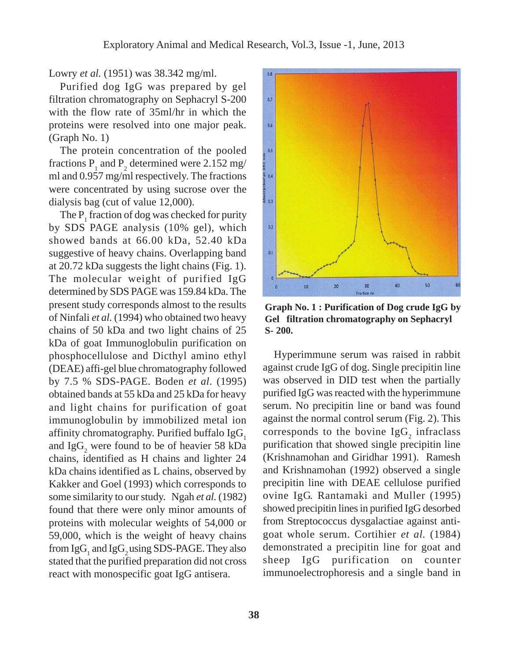Lowry *et al.* (1951) was 38.342 mg/ml.

Purified dog IgG was prepared by gel filtration chromatography on Sephacryl S-200 with the flow rate of 35ml/hr in which the proteins were resolved into one major peak. (Graph No. 1)

The protein concentration of the pooled fractions  $P_1$  and  $P_2$  determined were 2.152 mg/ ml and 0.957 mg/ml respectively. The fractions were concentrated by using sucrose over the dialysis bag (cut of value 12,000).

The  $P_1$  fraction of dog was checked for purity by SDS PAGE analysis (10% gel), which showed bands at 66.00 kDa, 52.40 kDa suggestive of heavy chains. Overlapping band at 20.72 kDa suggests the light chains (Fig. 1). The molecular weight of purified IgG determined by SDS PAGE was 159.84 kDa. The present study corresponds almost to the results of Ninfali *et al.* (1994) who obtained two heavy chains of 50 kDa and two light chains of 25 kDa of goat Immunoglobulin purification on phosphocellulose and Dicthyl amino ethyl (DEAE) affi-gel blue chromatography followed by 7.5 % SDS-PAGE. Boden *et al*. (1995) obtained bands at 55 kDa and 25 kDa for heavy and light chains for purification of goat immunoglobulin by immobilized metal ion affinity chromatography. Purified buffalo IgG. and Ig $G_2$  were found to be of heavier 58 kDa chains, identified as H chains and lighter 24 kDa chains identified as L chains, observed by Kakker and Goel (1993) which corresponds to some similarity to our study. Ngah *et al.* (1982) found that there were only minor amounts of proteins with molecular weights of 54,000 or 59,000, which is the weight of heavy chains from  $\mathrm{IgG}_{1}$  and  $\mathrm{IgG}_{2}$  using SDS-PAGE. They also stated that the purified preparation did not cross react with monospecific goat IgG antisera.



**Graph No. 1 : Purification of Dog crude IgG by Gel filtration chromatography on Sephacryl S- 200.**

Hyperimmune serum was raised in rabbit against crude IgG of dog. Single precipitin line was observed in DID test when the partially purified IgG was reacted with the hyperimmune serum. No precipitin line or band was found against the normal control serum (Fig. 2). This corresponds to the bovine  $\text{IgG}_2$  infraclass purification that showed single precipitin line (Krishnamohan and Giridhar 1991). Ramesh and Krishnamohan (1992) observed a single precipitin line with DEAE cellulose purified ovine IgG. Rantamaki and Muller (1995) showed precipitin lines in purified IgG desorbed from Streptococcus dysgalactiae against antigoat whole serum. Cortihier *et al.* (1984) demonstrated a precipitin line for goat and sheep IgG purification on counter immunoelectrophoresis and a single band in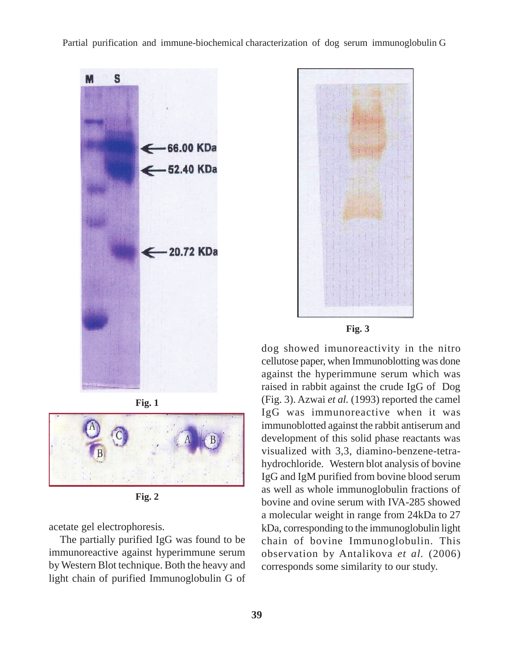Partial purification and immune-biochemical characterization of dog serum immunoglobulin G







**Fig. 2**

acetate gel electrophoresis.

The partially purified IgG was found to be immunoreactive against hyperimmune serum by Western Blot technique. Both the heavy and light chain of purified Immunoglobulin G of



**Fig. 3**

dog showed imunoreactivity in the nitro cellutose paper, when Immunoblotting was done against the hyperimmune serum which was raised in rabbit against the crude IgG of Dog (Fig. 3). Azwai *et al.* (1993) reported the camel IgG was immunoreactive when it was immunoblotted against the rabbit antiserum and development of this solid phase reactants was visualized with 3,3, diamino-benzene-tetrahydrochloride. Western blot analysis of bovine IgG and IgM purified from bovine blood serum as well as whole immunoglobulin fractions of bovine and ovine serum with IVA-285 showed a molecular weight in range from 24kDa to 27 kDa, corresponding to the immunoglobulin light chain of bovine Immunoglobulin. This observation by Antalikova *et al.* (2006) corresponds some similarity to our study.